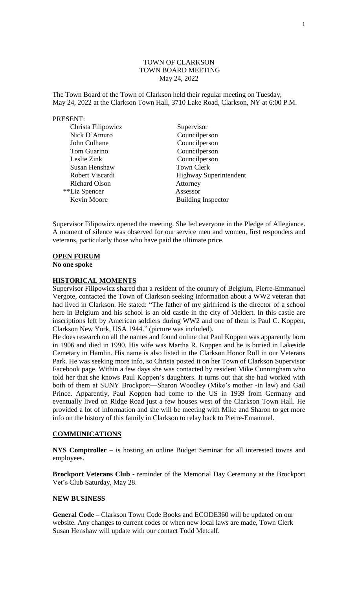### TOWN OF CLARKSON TOWN BOARD MEETING May 24, 2022

The Town Board of the Town of Clarkson held their regular meeting on Tuesday, May 24, 2022 at the Clarkson Town Hall, 3710 Lake Road, Clarkson, NY at 6:00 P.M.

#### PRESENT:

| Christa Filipowicz   | Supervisor                    |
|----------------------|-------------------------------|
| Nick D'Amuro         | Councilperson                 |
| John Culhane         | Councilperson                 |
| Tom Guarino          | Councilperson                 |
| Leslie Zink          | Councilperson                 |
| Susan Henshaw        | <b>Town Clerk</b>             |
| Robert Viscardi      | <b>Highway Superintendent</b> |
| <b>Richard Olson</b> | Attorney                      |
| **Liz Spencer        | Assessor                      |
| Kevin Moore          | <b>Building Inspector</b>     |

Supervisor Filipowicz opened the meeting. She led everyone in the Pledge of Allegiance. A moment of silence was observed for our service men and women, first responders and veterans, particularly those who have paid the ultimate price.

## **OPEN FORUM**

**No one spoke**

### **HISTORICAL MOMENTS**

Supervisor Filipowicz shared that a resident of the country of Belgium, Pierre-Emmanuel Vergote, contacted the Town of Clarkson seeking information about a WW2 veteran that had lived in Clarkson. He stated: "The father of my girlfriend is the director of a school here in Belgium and his school is an old castle in the city of Meldert. In this castle are inscriptions left by American soldiers during WW2 and one of them is Paul C. Koppen, Clarkson New York, USA 1944." (picture was included).

He does research on all the names and found online that Paul Koppen was apparently born in 1906 and died in 1990. His wife was Martha R. Koppen and he is buried in Lakeside Cemetary in Hamlin. His name is also listed in the Clarkson Honor Roll in our Veterans Park. He was seeking more info, so Christa posted it on her Town of Clarkson Supervisor Facebook page. Within a few days she was contacted by resident Mike Cunningham who told her that she knows Paul Koppen's daughters. It turns out that she had worked with both of them at SUNY Brockport—Sharon Woodley (Mike's mother -in law) and Gail Prince. Apparently, Paul Koppen had come to the US in 1939 from Germany and eventually lived on Ridge Road just a few houses west of the Clarkson Town Hall. He provided a lot of information and she will be meeting with Mike and Sharon to get more info on the history of this family in Clarkson to relay back to Pierre-Emannuel.

#### **COMMUNICATIONS**

**NYS Comptroller** – is hosting an online Budget Seminar for all interested towns and employees.

**Brockport Veterans Club -** reminder of the Memorial Day Ceremony at the Brockport Vet's Club Saturday, May 28.

### **NEW BUSINESS**

**General Code –** Clarkson Town Code Books and ECODE360 will be updated on our website. Any changes to current codes or when new local laws are made, Town Clerk Susan Henshaw will update with our contact Todd Metcalf.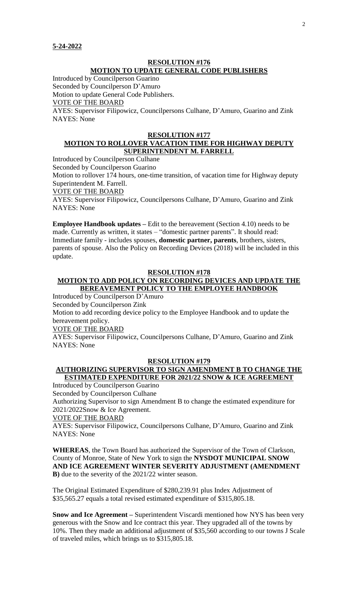### **RESOLUTION #176 MOTION TO UPDATE GENERAL CODE PUBLISHERS**

Introduced by Councilperson Guarino

Seconded by Councilperson D'Amuro

Motion to update General Code Publishers.

## VOTE OF THE BOARD

AYES: Supervisor Filipowicz, Councilpersons Culhane, D'Amuro, Guarino and Zink NAYES: None

#### **RESOLUTION #177 MOTION TO ROLLOVER VACATION TIME FOR HIGHWAY DEPUTY SUPERINTENDENT M. FARRELL**

Introduced by Councilperson Culhane

Seconded by Councilperson Guarino

Motion to rollover 174 hours, one-time transition, of vacation time for Highway deputy Superintendent M. Farrell.

VOTE OF THE BOARD

AYES: Supervisor Filipowicz, Councilpersons Culhane, D'Amuro, Guarino and Zink NAYES: None

**Employee Handbook updates –** Edit to the bereavement (Section 4.10) needs to be made. Currently as written, it states – "domestic partner parents". It should read: Immediate family - includes spouses, **domestic partner, parents**, brothers, sisters, parents of spouse. Also the Policy on Recording Devices (2018) will be included in this update.

## **RESOLUTION #178**

## **MOTION TO ADD POLICY ON RECORDING DEVICES AND UPDATE THE BEREAVEMENT POLICY TO THE EMPLOYEE HANDBOOK**

Introduced by Councilperson D'Amuro

Seconded by Councilperson Zink

Motion to add recording device policy to the Employee Handbook and to update the bereavement policy.

VOTE OF THE BOARD

AYES: Supervisor Filipowicz, Councilpersons Culhane, D'Amuro, Guarino and Zink NAYES: None

#### **RESOLUTION #179**

## **AUTHORIZING SUPERVISOR TO SIGN AMENDMENT B TO CHANGE THE ESTIMATED EXPENDITURE FOR 2021/22 SNOW & ICE AGREEMENT**

Introduced by Councilperson Guarino

Seconded by Councilperson Culhane

Authorizing Supervisor to sign Amendment B to change the estimated expenditure for 2021/2022Snow & Ice Agreement.

VOTE OF THE BOARD

AYES: Supervisor Filipowicz, Councilpersons Culhane, D'Amuro, Guarino and Zink NAYES: None

**WHEREAS**, the Town Board has authorized the Supervisor of the Town of Clarkson, County of Monroe, State of New York to sign the **NYSDOT MUNICIPAL SNOW AND ICE AGREEMENT WINTER SEVERITY ADJUSTMENT (AMENDMENT B)** due to the severity of the 2021/22 winter season.

The Original Estimated Expenditure of \$280,239.91 plus Index Adjustment of \$35,565.27 equals a total revised estimated expenditure of \$315,805.18.

**Snow and Ice Agreement –** Superintendent Viscardi mentioned how NYS has been very generous with the Snow and Ice contract this year. They upgraded all of the towns by 10%. Then they made an additional adjustment of \$35,560 according to our towns J Scale of traveled miles, which brings us to \$315,805.18.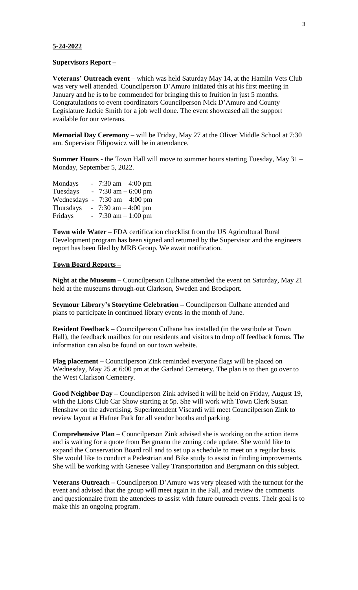#### **5-24-2022**

#### **Supervisors Report –**

**Veterans' Outreach event** – which was held Saturday May 14, at the Hamlin Vets Club was very well attended. Councilperson D'Amuro initiated this at his first meeting in January and he is to be commended for bringing this to fruition in just 5 months. Congratulations to event coordinators Councilperson Nick D'Amuro and County Legislature Jackie Smith for a job well done. The event showcased all the support available for our veterans.

**Memorial Day Ceremony** – will be Friday, May 27 at the Oliver Middle School at 7:30 am. Supervisor Filipowicz will be in attendance.

**Summer Hours** - the Town Hall will move to summer hours starting Tuesday, May 31 – Monday, September 5, 2022.

| Mondays      | 7:30 am $-4:00$ pm    |
|--------------|-----------------------|
| Tuesdays     | 7:30 am $-6:00$ pm    |
| Wednesdays - | 7:30 am $-$ 4:00 pm   |
| Thursdays    | 7:30 am $-$ 4:00 pm   |
| Fridays      | $-7:30$ am $-1:00$ pm |

**Town wide Water –** FDA certification checklist from the US Agricultural Rural Development program has been signed and returned by the Supervisor and the engineers report has been filed by MRB Group. We await notification.

#### **Town Board Reports –**

**Night at the Museum –** Councilperson Culhane attended the event on Saturday, May 21 held at the museums through-out Clarkson, Sweden and Brockport.

**Seymour Library's Storytime Celebration –** Councilperson Culhane attended and plans to participate in continued library events in the month of June.

**Resident Feedback –** Councilperson Culhane has installed (in the vestibule at Town Hall), the feedback mailbox for our residents and visitors to drop off feedback forms. The information can also be found on our town website.

**Flag placement** – Councilperson Zink reminded everyone flags will be placed on Wednesday, May 25 at 6:00 pm at the Garland Cemetery. The plan is to then go over to the West Clarkson Cemetery.

**Good Neighbor Day –** Councilperson Zink advised it will be held on Friday, August 19, with the Lions Club Car Show starting at 5p. She will work with Town Clerk Susan Henshaw on the advertising. Superintendent Viscardi will meet Councilperson Zink to review layout at Hafner Park for all vendor booths and parking.

**Comprehensive Plan** – Councilperson Zink advised she is working on the action items and is waiting for a quote from Bergmann the zoning code update. She would like to expand the Conservation Board roll and to set up a schedule to meet on a regular basis. She would like to conduct a Pedestrian and Bike study to assist in finding improvements. She will be working with Genesee Valley Transportation and Bergmann on this subject.

**Veterans Outreach –** Councilperson D'Amuro was very pleased with the turnout for the event and advised that the group will meet again in the Fall, and review the comments and questionnaire from the attendees to assist with future outreach events. Their goal is to make this an ongoing program.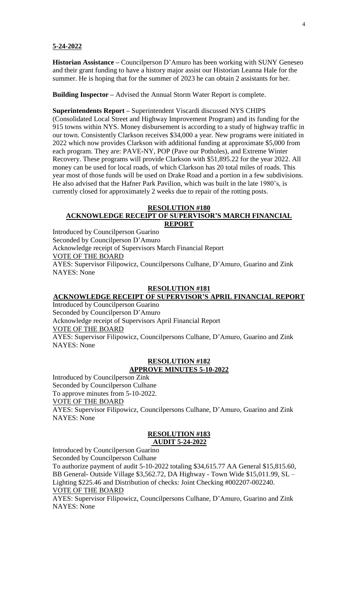#### **5-24-2022**

**Historian Assistance –** Councilperson D'Amuro has been working with SUNY Geneseo and their grant funding to have a history major assist our Historian Leanna Hale for the summer. He is hoping that for the summer of 2023 he can obtain 2 assistants for her.

**Building Inspector –** Advised the Annual Storm Water Report is complete.

**Superintendents Report –** Superintendent Viscardi discussed NYS CHIPS (Consolidated Local Street and Highway Improvement Program) and its funding for the

915 towns within NYS. Money disbursement is according to a study of highway traffic in our town. Consistently Clarkson receives \$34,000 a year. New programs were initiated in 2022 which now provides Clarkson with additional funding at approximate \$5,000 from each program. They are: PAVE-NY, POP (Pave our Potholes), and Extreme Winter Recovery. These programs will provide Clarkson with \$51,895.22 for the year 2022. All money can be used for local roads, of which Clarkson has 20 total miles of roads. This year most of those funds will be used on Drake Road and a portion in a few subdivisions. He also advised that the Hafner Park Pavilion, which was built in the late 1980's, is currently closed for approximately 2 weeks due to repair of the rotting posts.

#### **RESOLUTION #180 ACKNOWLEDGE RECEIPT OF SUPERVISOR'S MARCH FINANCIAL REPORT**

Introduced by Councilperson Guarino Seconded by Councilperson D'Amuro Acknowledge receipt of Supervisors March Financial Report VOTE OF THE BOARD AYES: Supervisor Filipowicz, Councilpersons Culhane, D'Amuro, Guarino and Zink NAYES: None

#### **RESOLUTION #181**

## **ACKNOWLEDGE RECEIPT OF SUPERVISOR'S APRIL FINANCIAL REPORT**

Introduced by Councilperson Guarino Seconded by Councilperson D'Amuro Acknowledge receipt of Supervisors April Financial Report VOTE OF THE BOARD AYES: Supervisor Filipowicz, Councilpersons Culhane, D'Amuro, Guarino and Zink NAYES: None

# **RESOLUTION #182**

## **APPROVE MINUTES 5-10-2022**

Introduced by Councilperson Zink Seconded by Councilperson Culhane To approve minutes from 5-10-2022. VOTE OF THE BOARD AYES: Supervisor Filipowicz, Councilpersons Culhane, D'Amuro, Guarino and Zink NAYES: None

#### **RESOLUTION #183 AUDIT 5-24-2022**

Introduced by Councilperson Guarino Seconded by Councilperson Culhane

To authorize payment of audit 5-10-2022 totaling \$34,615.77 AA General \$15,815.60, BB General- Outside Village \$3,562.72, DA Highway - Town Wide \$15,011.99, SL – Lighting \$225.46 and Distribution of checks: Joint Checking #002207-002240. VOTE OF THE BOARD

AYES: Supervisor Filipowicz, Councilpersons Culhane, D'Amuro, Guarino and Zink NAYES: None